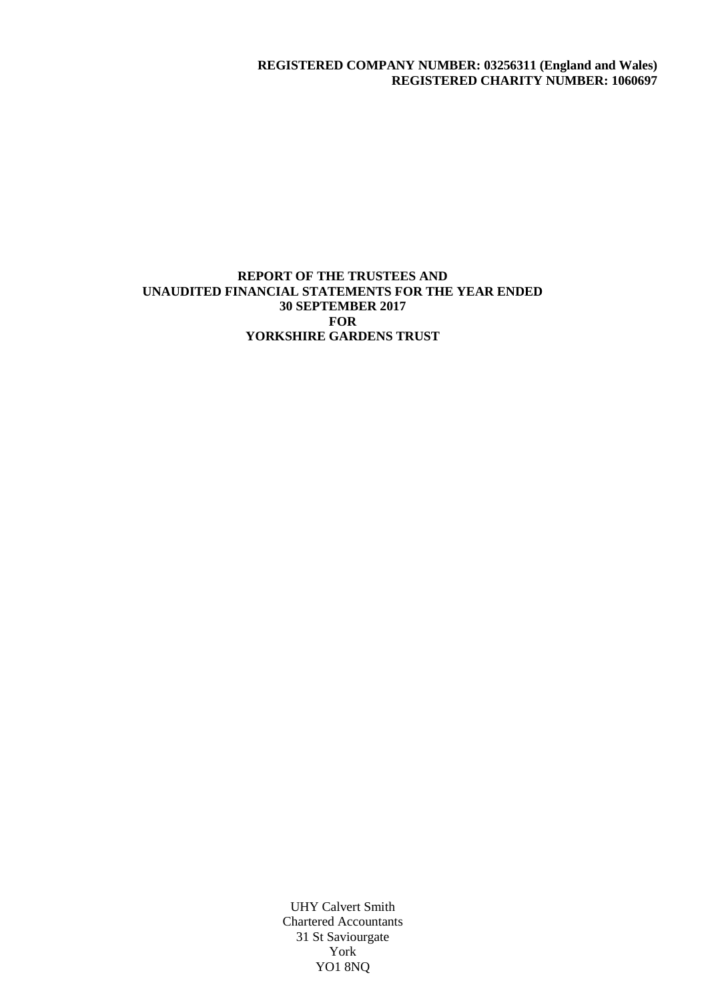# **REGISTERED COMPANY NUMBER: 03256311 (England and Wales) REGISTERED CHARITY NUMBER: 1060697**

# **REPORT OF THE TRUSTEES AND UNAUDITED FINANCIAL STATEMENTS FOR THE YEAR ENDED 30 SEPTEMBER 2017 FOR YORKSHIRE GARDENS TRUST**

UHY Calvert Smith Chartered Accountants 31 St Saviourgate York YO1 8NQ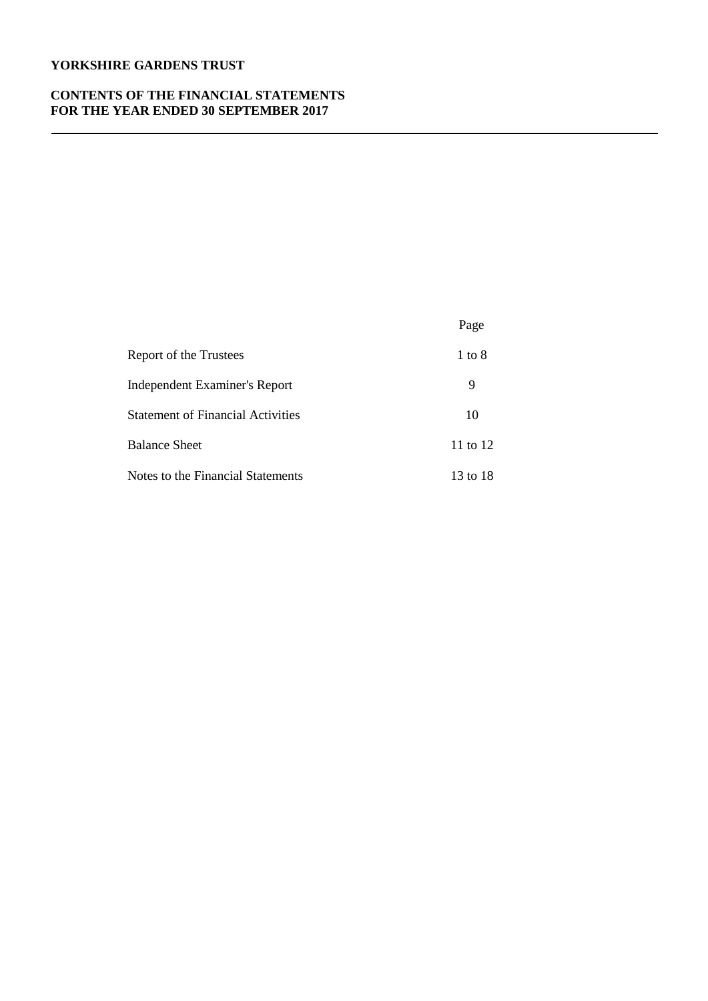# **CONTENTS OF THE FINANCIAL STATEMENTS FOR THE YEAR ENDED 30 SEPTEMBER 2017**

|                                          | Page     |
|------------------------------------------|----------|
| Report of the Trustees                   | 1 to 8   |
| <b>Independent Examiner's Report</b>     | 9        |
| <b>Statement of Financial Activities</b> | 10       |
| <b>Balance Sheet</b>                     | 11 to 12 |
| Notes to the Financial Statements        | 13 to 18 |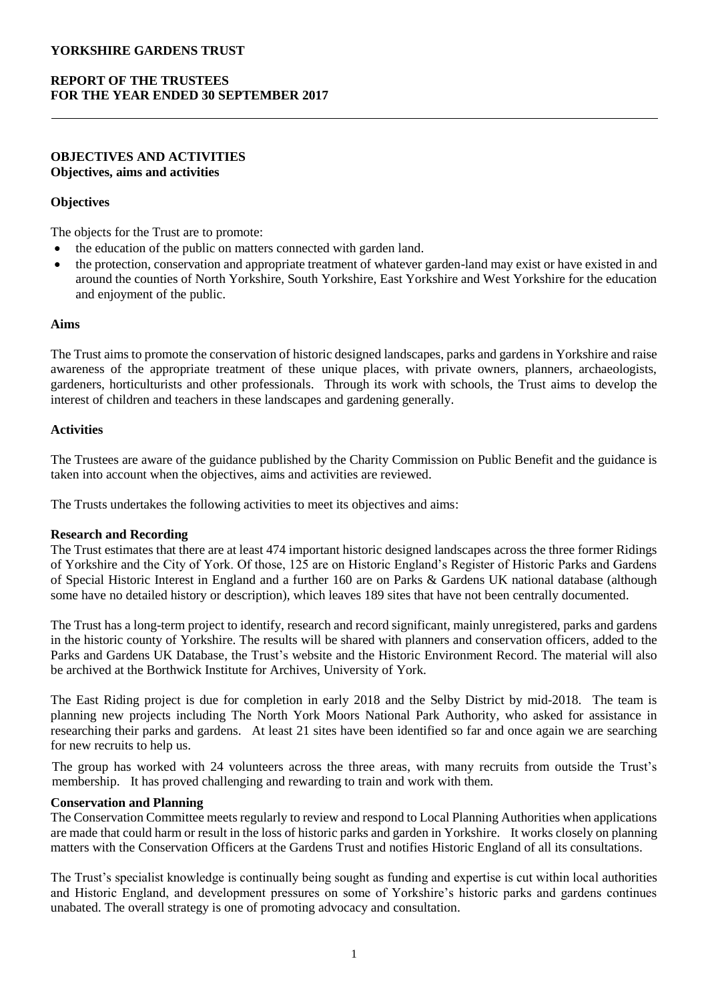# **REPORT OF THE TRUSTEES FOR THE YEAR ENDED 30 SEPTEMBER 2017**

## **OBJECTIVES AND ACTIVITIES Objectives, aims and activities**

## **Objectives**

The objects for the Trust are to promote:

- the education of the public on matters connected with garden land.
- the protection, conservation and appropriate treatment of whatever garden-land may exist or have existed in and around the counties of North Yorkshire, South Yorkshire, East Yorkshire and West Yorkshire for the education and enjoyment of the public.

# **Aims**

The Trust aims to promote the conservation of historic designed landscapes, parks and gardens in Yorkshire and raise awareness of the appropriate treatment of these unique places, with private owners, planners, archaeologists, gardeners, horticulturists and other professionals. Through its work with schools, the Trust aims to develop the interest of children and teachers in these landscapes and gardening generally.

# **Activities**

The Trustees are aware of the guidance published by the Charity Commission on Public Benefit and the guidance is taken into account when the objectives, aims and activities are reviewed.

The Trusts undertakes the following activities to meet its objectives and aims:

## **Research and Recording**

The Trust estimates that there are at least 474 important historic designed landscapes across the three former Ridings of Yorkshire and the City of York. Of those, 125 are on Historic England's Register of Historic Parks and Gardens of Special Historic Interest in England and a further 160 are on Parks & Gardens UK national database (although some have no detailed history or description), which leaves 189 sites that have not been centrally documented.

The Trust has a long-term project to identify, research and record significant, mainly unregistered, parks and gardens in the historic county of Yorkshire. The results will be shared with planners and conservation officers, added to the Parks and Gardens UK Database, the Trust's website and the Historic Environment Record. The material will also be archived at the Borthwick Institute for Archives, University of York.

The East Riding project is due for completion in early 2018 and the Selby District by mid-2018. The team is planning new projects including The North York Moors National Park Authority, who asked for assistance in researching their parks and gardens. At least 21 sites have been identified so far and once again we are searching for new recruits to help us.

The group has worked with 24 volunteers across the three areas, with many recruits from outside the Trust's membership. It has proved challenging and rewarding to train and work with them.

# **Conservation and Planning**

The Conservation Committee meets regularly to review and respond to Local Planning Authorities when applications are made that could harm or result in the loss of historic parks and garden in Yorkshire. It works closely on planning matters with the Conservation Officers at the Gardens Trust and notifies Historic England of all its consultations.

The Trust's specialist knowledge is continually being sought as funding and expertise is cut within local authorities and Historic England, and development pressures on some of Yorkshire's historic parks and gardens continues unabated. The overall strategy is one of promoting advocacy and consultation.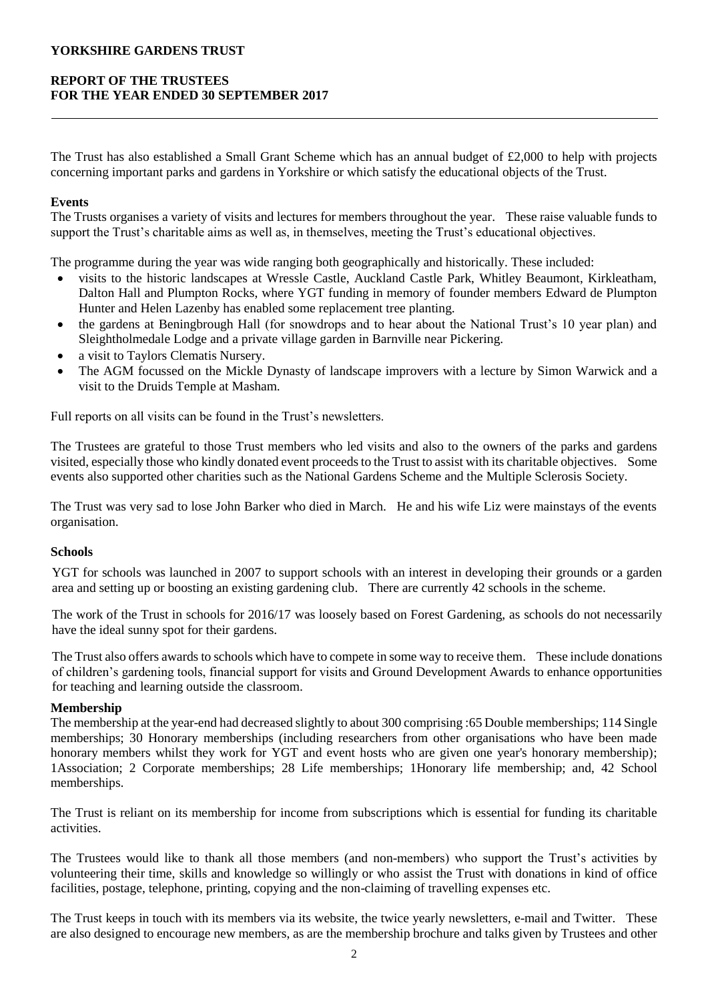# **REPORT OF THE TRUSTEES FOR THE YEAR ENDED 30 SEPTEMBER 2017**

The Trust has also established a Small Grant Scheme which has an annual budget of £2,000 to help with projects concerning important parks and gardens in Yorkshire or which satisfy the educational objects of the Trust.

## **Events**

The Trusts organises a variety of visits and lectures for members throughout the year. These raise valuable funds to support the Trust's charitable aims as well as, in themselves, meeting the Trust's educational objectives.

The programme during the year was wide ranging both geographically and historically. These included:

- visits to the historic landscapes at Wressle Castle, Auckland Castle Park, Whitley Beaumont, Kirkleatham, Dalton Hall and Plumpton Rocks, where YGT funding in memory of founder members Edward de Plumpton Hunter and Helen Lazenby has enabled some replacement tree planting.
- the gardens at Beningbrough Hall (for snowdrops and to hear about the National Trust's 10 year plan) and Sleightholmedale Lodge and a private village garden in Barnville near Pickering.
- a visit to Taylors Clematis Nursery.
- The AGM focussed on the Mickle Dynasty of landscape improvers with a lecture by Simon Warwick and a visit to the Druids Temple at Masham.

Full reports on all visits can be found in the Trust's newsletters.

The Trustees are grateful to those Trust members who led visits and also to the owners of the parks and gardens visited, especially those who kindly donated event proceeds to the Trust to assist with its charitable objectives. Some events also supported other charities such as the National Gardens Scheme and the Multiple Sclerosis Society.

The Trust was very sad to lose John Barker who died in March. He and his wife Liz were mainstays of the events organisation.

# **Schools**

YGT for schools was launched in 2007 to support schools with an interest in developing their grounds or a garden area and setting up or boosting an existing gardening club. There are currently 42 schools in the scheme.

The work of the Trust in schools for 2016/17 was loosely based on Forest Gardening, as schools do not necessarily have the ideal sunny spot for their gardens.

The Trust also offers awards to schools which have to compete in some way to receive them. These include donations of children's gardening tools, financial support for visits and Ground Development Awards to enhance opportunities for teaching and learning outside the classroom.

## **Membership**

The membership at the year-end had decreased slightly to about 300 comprising :65 Double memberships; 114 Single memberships; 30 Honorary memberships (including researchers from other organisations who have been made honorary members whilst they work for YGT and event hosts who are given one year's honorary membership); 1Association; 2 Corporate memberships; 28 Life memberships; 1Honorary life membership; and, 42 School memberships.

The Trust is reliant on its membership for income from subscriptions which is essential for funding its charitable activities.

The Trustees would like to thank all those members (and non-members) who support the Trust's activities by volunteering their time, skills and knowledge so willingly or who assist the Trust with donations in kind of office facilities, postage, telephone, printing, copying and the non-claiming of travelling expenses etc.

The Trust keeps in touch with its members via its website, the twice yearly newsletters, e-mail and Twitter. These are also designed to encourage new members, as are the membership brochure and talks given by Trustees and other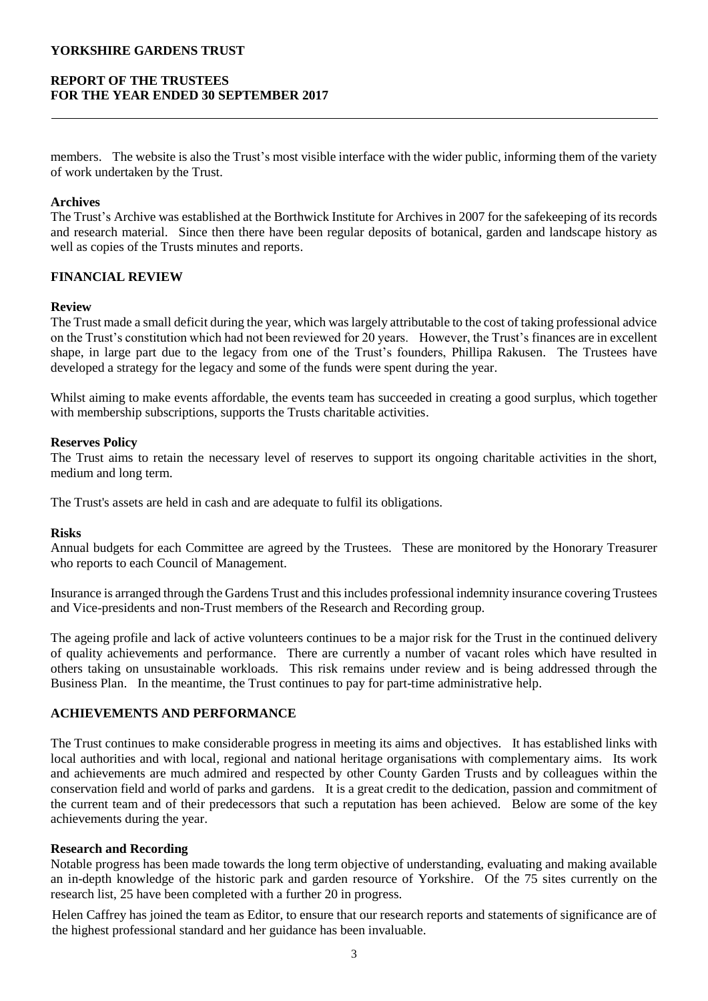# **REPORT OF THE TRUSTEES FOR THE YEAR ENDED 30 SEPTEMBER 2017**

members. The website is also the Trust's most visible interface with the wider public, informing them of the variety of work undertaken by the Trust.

## **Archives**

The Trust's Archive was established at the Borthwick Institute for Archives in 2007 for the safekeeping of its records and research material. Since then there have been regular deposits of botanical, garden and landscape history as well as copies of the Trusts minutes and reports.

## **FINANCIAL REVIEW**

#### **Review**

The Trust made a small deficit during the year, which was largely attributable to the cost of taking professional advice on the Trust's constitution which had not been reviewed for 20 years. However, the Trust's finances are in excellent shape, in large part due to the legacy from one of the Trust's founders, Phillipa Rakusen. The Trustees have developed a strategy for the legacy and some of the funds were spent during the year.

Whilst aiming to make events affordable, the events team has succeeded in creating a good surplus, which together with membership subscriptions, supports the Trusts charitable activities.

## **Reserves Policy**

The Trust aims to retain the necessary level of reserves to support its ongoing charitable activities in the short, medium and long term.

The Trust's assets are held in cash and are adequate to fulfil its obligations.

#### **Risks**

Annual budgets for each Committee are agreed by the Trustees. These are monitored by the Honorary Treasurer who reports to each Council of Management.

Insurance is arranged through the Gardens Trust and this includes professional indemnity insurance covering Trustees and Vice-presidents and non-Trust members of the Research and Recording group.

The ageing profile and lack of active volunteers continues to be a major risk for the Trust in the continued delivery of quality achievements and performance. There are currently a number of vacant roles which have resulted in others taking on unsustainable workloads. This risk remains under review and is being addressed through the Business Plan. In the meantime, the Trust continues to pay for part-time administrative help.

## **ACHIEVEMENTS AND PERFORMANCE**

The Trust continues to make considerable progress in meeting its aims and objectives. It has established links with local authorities and with local, regional and national heritage organisations with complementary aims. Its work and achievements are much admired and respected by other County Garden Trusts and by colleagues within the conservation field and world of parks and gardens. It is a great credit to the dedication, passion and commitment of the current team and of their predecessors that such a reputation has been achieved. Below are some of the key achievements during the year.

#### **Research and Recording**

Notable progress has been made towards the long term objective of understanding, evaluating and making available an in-depth knowledge of the historic park and garden resource of Yorkshire. Of the 75 sites currently on the research list, 25 have been completed with a further 20 in progress.

Helen Caffrey has joined the team as Editor, to ensure that our research reports and statements of significance are of the highest professional standard and her guidance has been invaluable.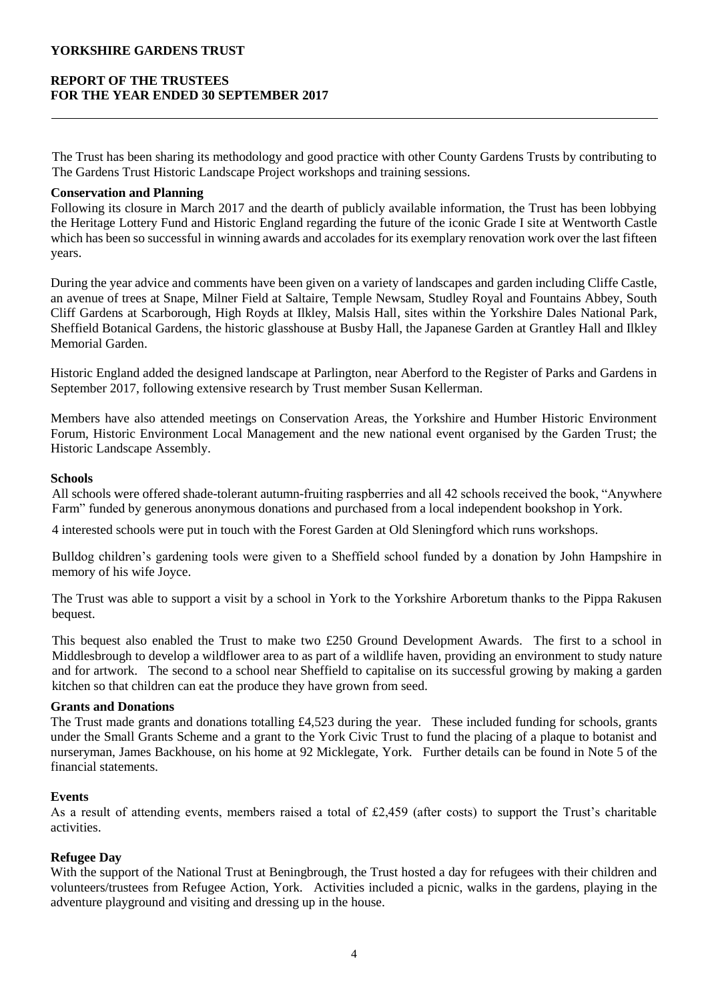# **REPORT OF THE TRUSTEES FOR THE YEAR ENDED 30 SEPTEMBER 2017**

The Trust has been sharing its methodology and good practice with other County Gardens Trusts by contributing to The Gardens Trust Historic Landscape Project workshops and training sessions.

#### **Conservation and Planning**

Following its closure in March 2017 and the dearth of publicly available information, the Trust has been lobbying the Heritage Lottery Fund and Historic England regarding the future of the iconic Grade I site at Wentworth Castle which has been so successful in winning awards and accolades for its exemplary renovation work over the last fifteen years.

During the year advice and comments have been given on a variety of landscapes and garden including Cliffe Castle, an avenue of trees at Snape, Milner Field at Saltaire, Temple Newsam, Studley Royal and Fountains Abbey, South Cliff Gardens at Scarborough, High Royds at Ilkley, Malsis Hall, sites within the Yorkshire Dales National Park, Sheffield Botanical Gardens, the historic glasshouse at Busby Hall, the Japanese Garden at Grantley Hall and Ilkley Memorial Garden.

Historic England added the designed landscape at Parlington, near Aberford to the Register of Parks and Gardens in September 2017, following extensive research by Trust member Susan Kellerman.

Members have also attended meetings on Conservation Areas, the Yorkshire and Humber Historic Environment Forum, Historic Environment Local Management and the new national event organised by the Garden Trust; the Historic Landscape Assembly.

## **Schools**

All schools were offered shade-tolerant autumn-fruiting raspberries and all 42 schools received the book, "Anywhere Farm" funded by generous anonymous donations and purchased from a local independent bookshop in York.

4 interested schools were put in touch with the Forest Garden at Old Sleningford which runs workshops.

Bulldog children's gardening tools were given to a Sheffield school funded by a donation by John Hampshire in memory of his wife Joyce.

The Trust was able to support a visit by a school in York to the Yorkshire Arboretum thanks to the Pippa Rakusen bequest.

This bequest also enabled the Trust to make two £250 Ground Development Awards. The first to a school in Middlesbrough to develop a wildflower area to as part of a wildlife haven, providing an environment to study nature and for artwork. The second to a school near Sheffield to capitalise on its successful growing by making a garden kitchen so that children can eat the produce they have grown from seed.

#### **Grants and Donations**

The Trust made grants and donations totalling £4,523 during the year. These included funding for schools, grants under the Small Grants Scheme and a grant to the York Civic Trust to fund the placing of a plaque to botanist and nurseryman, James Backhouse, on his home at 92 Micklegate, York. Further details can be found in Note 5 of the financial statements.

#### **Events**

As a result of attending events, members raised a total of £2,459 (after costs) to support the Trust's charitable activities.

## **Refugee Day**

With the support of the National Trust at Beningbrough, the Trust hosted a day for refugees with their children and volunteers/trustees from Refugee Action, York. Activities included a picnic, walks in the gardens, playing in the adventure playground and visiting and dressing up in the house.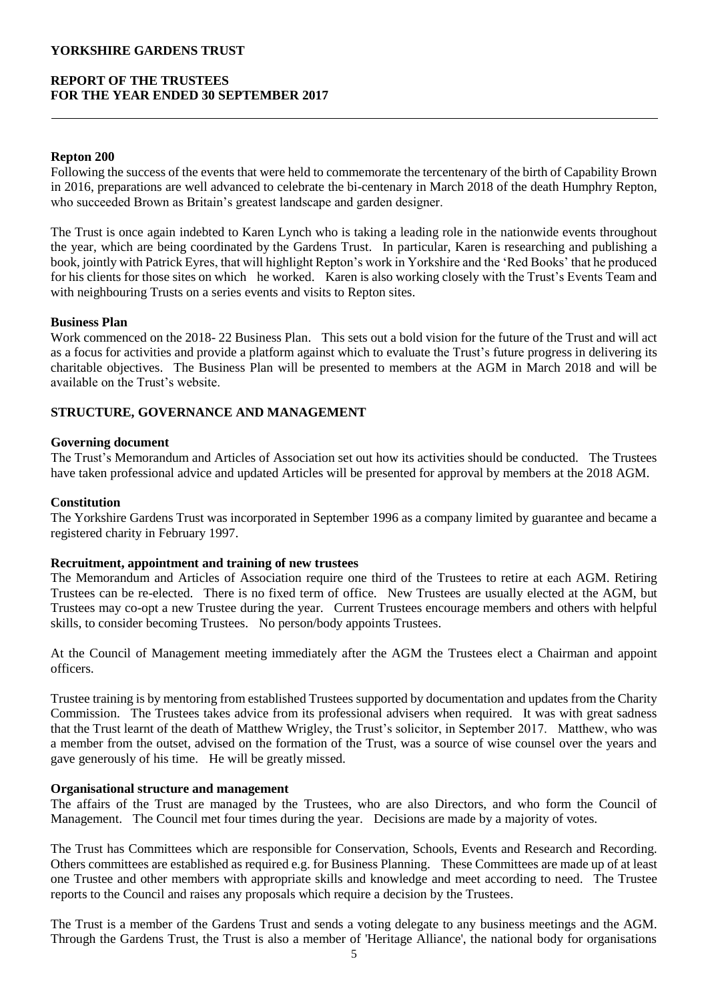# **REPORT OF THE TRUSTEES FOR THE YEAR ENDED 30 SEPTEMBER 2017**

## **Repton 200**

Following the success of the events that were held to commemorate the tercentenary of the birth of Capability Brown in 2016, preparations are well advanced to celebrate the bi-centenary in March 2018 of the death Humphry Repton, who succeeded Brown as Britain's greatest landscape and garden designer.

The Trust is once again indebted to Karen Lynch who is taking a leading role in the nationwide events throughout the year, which are being coordinated by the Gardens Trust. In particular, Karen is researching and publishing a book, jointly with Patrick Eyres, that will highlight Repton's work in Yorkshire and the 'Red Books' that he produced for his clients for those sites on which he worked. Karen is also working closely with the Trust's Events Team and with neighbouring Trusts on a series events and visits to Repton sites.

#### **Business Plan**

Work commenced on the 2018- 22 Business Plan. This sets out a bold vision for the future of the Trust and will act as a focus for activities and provide a platform against which to evaluate the Trust's future progress in delivering its charitable objectives. The Business Plan will be presented to members at the AGM in March 2018 and will be available on the Trust's website.

## **STRUCTURE, GOVERNANCE AND MANAGEMENT**

#### **Governing document**

The Trust's Memorandum and Articles of Association set out how its activities should be conducted. The Trustees have taken professional advice and updated Articles will be presented for approval by members at the 2018 AGM.

#### **Constitution**

The Yorkshire Gardens Trust was incorporated in September 1996 as a company limited by guarantee and became a registered charity in February 1997.

#### **Recruitment, appointment and training of new trustees**

The Memorandum and Articles of Association require one third of the Trustees to retire at each AGM. Retiring Trustees can be re-elected. There is no fixed term of office. New Trustees are usually elected at the AGM, but Trustees may co-opt a new Trustee during the year. Current Trustees encourage members and others with helpful skills, to consider becoming Trustees. No person/body appoints Trustees.

At the Council of Management meeting immediately after the AGM the Trustees elect a Chairman and appoint officers.

Trustee training is by mentoring from established Trustees supported by documentation and updates from the Charity Commission. The Trustees takes advice from its professional advisers when required. It was with great sadness that the Trust learnt of the death of Matthew Wrigley, the Trust's solicitor, in September 2017. Matthew, who was a member from the outset, advised on the formation of the Trust, was a source of wise counsel over the years and gave generously of his time. He will be greatly missed.

### **Organisational structure and management**

The affairs of the Trust are managed by the Trustees, who are also Directors, and who form the Council of Management. The Council met four times during the year. Decisions are made by a majority of votes.

The Trust has Committees which are responsible for Conservation, Schools, Events and Research and Recording. Others committees are established as required e.g. for Business Planning. These Committees are made up of at least one Trustee and other members with appropriate skills and knowledge and meet according to need. The Trustee reports to the Council and raises any proposals which require a decision by the Trustees.

The Trust is a member of the Gardens Trust and sends a voting delegate to any business meetings and the AGM. Through the Gardens Trust, the Trust is also a member of 'Heritage Alliance', the national body for organisations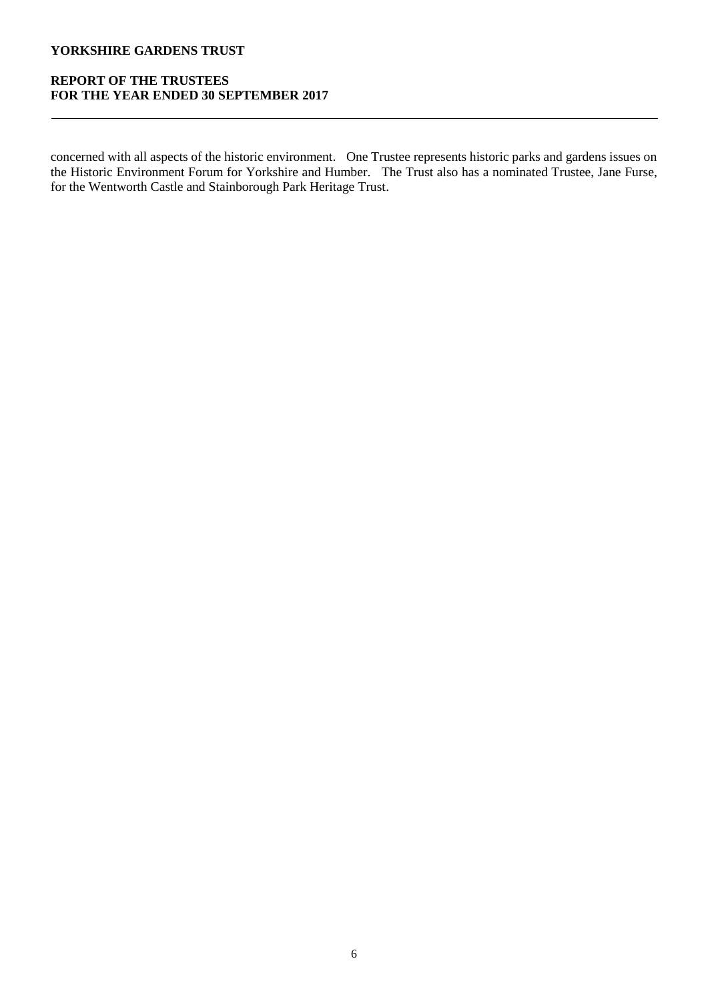# **REPORT OF THE TRUSTEES FOR THE YEAR ENDED 30 SEPTEMBER 2017**

concerned with all aspects of the historic environment. One Trustee represents historic parks and gardens issues on the Historic Environment Forum for Yorkshire and Humber. The Trust also has a nominated Trustee, Jane Furse, for the Wentworth Castle and Stainborough Park Heritage Trust.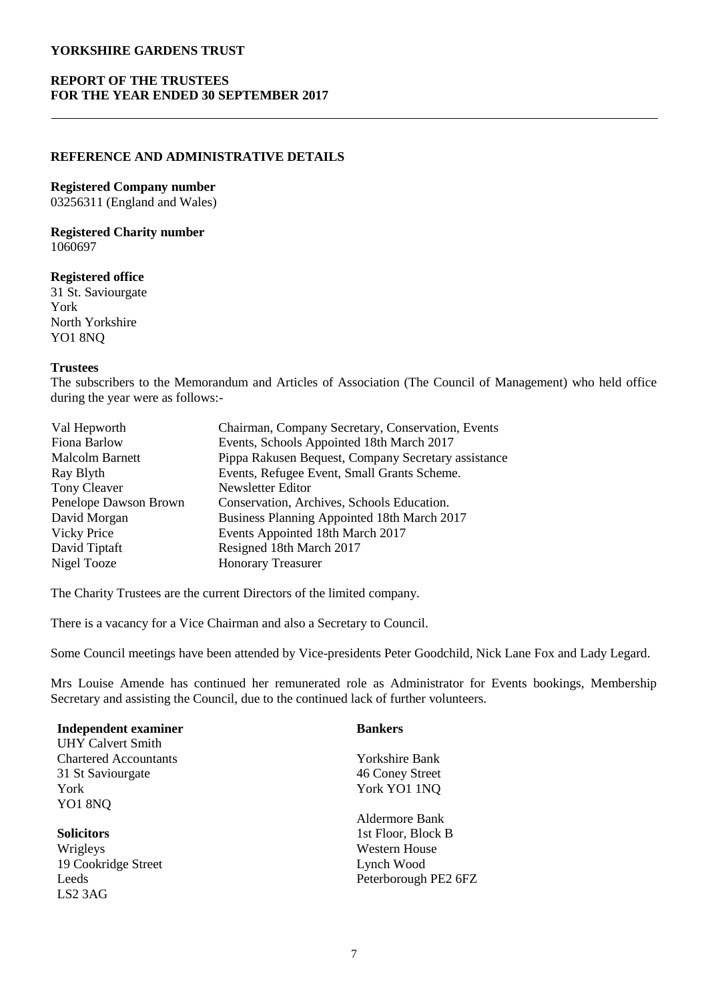# **REPORT OF THE TRUSTEES FOR THE YEAR ENDED 30 SEPTEMBER 2017**

#### **REFERENCE AND ADMINISTRATIVE DETAILS**

#### **Registered Company number**

03256311 (England and Wales)

**Registered Charity number** 1060697

#### **Registered office**

31 St. Saviourgate York North Yorkshire YO1 8NQ

## **Trustees**

The subscribers to the Memorandum and Articles of Association (The Council of Management) who held office during the year were as follows:-

| Val Hepworth           | Chairman, Company Secretary, Conservation, Events   |
|------------------------|-----------------------------------------------------|
| Fiona Barlow           | Events, Schools Appointed 18th March 2017           |
| <b>Malcolm Barnett</b> | Pippa Rakusen Bequest, Company Secretary assistance |
| Ray Blyth              | Events, Refugee Event, Small Grants Scheme.         |
| <b>Tony Cleaver</b>    | Newsletter Editor                                   |
| Penelope Dawson Brown  | Conservation, Archives, Schools Education.          |
| David Morgan           | Business Planning Appointed 18th March 2017         |
| <b>Vicky Price</b>     | Events Appointed 18th March 2017                    |
| David Tiptaft          | Resigned 18th March 2017                            |
| Nigel Tooze            | <b>Honorary Treasurer</b>                           |
|                        |                                                     |

The Charity Trustees are the current Directors of the limited company.

There is a vacancy for a Vice Chairman and also a Secretary to Council.

Some Council meetings have been attended by Vice-presidents Peter Goodchild, Nick Lane Fox and Lady Legard.

Mrs Louise Amende has continued her remunerated role as Administrator for Events bookings, Membership Secretary and assisting the Council, due to the continued lack of further volunteers.

| <b>Independent examiner</b>  | <b>Bankers</b>       |
|------------------------------|----------------------|
| <b>UHY Calvert Smith</b>     |                      |
| <b>Chartered Accountants</b> | Yorkshire Bank       |
| 31 St Saviourgate            | 46 Coney Street      |
| York                         | York YO1 1NQ         |
| YO1 8NQ                      |                      |
|                              | Aldermore Bank       |
| <b>Solicitors</b>            | 1st Floor, Block B   |
| Wrigleys                     | Western House        |
| 19 Cookridge Street          | Lynch Wood           |
| Leeds                        | Peterborough PE2 6FZ |
| LS <sub>2</sub> 3AG          |                      |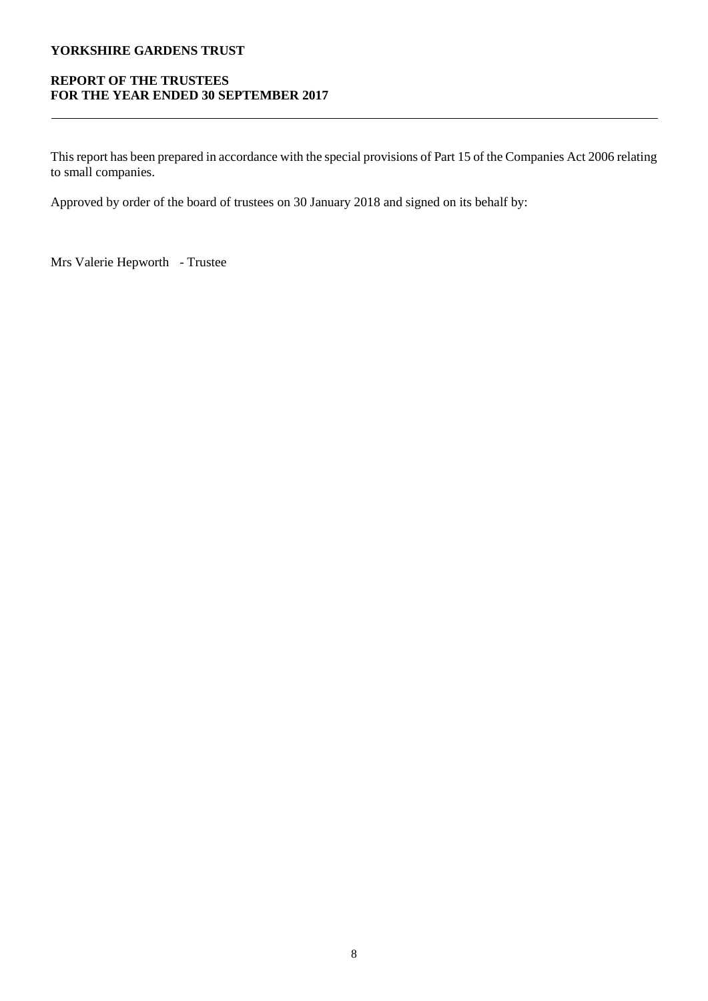# **REPORT OF THE TRUSTEES FOR THE YEAR ENDED 30 SEPTEMBER 2017**

This report has been prepared in accordance with the special provisions of Part 15 of the Companies Act 2006 relating to small companies.

Approved by order of the board of trustees on 30 January 2018 and signed on its behalf by:

Mrs Valerie Hepworth - Trustee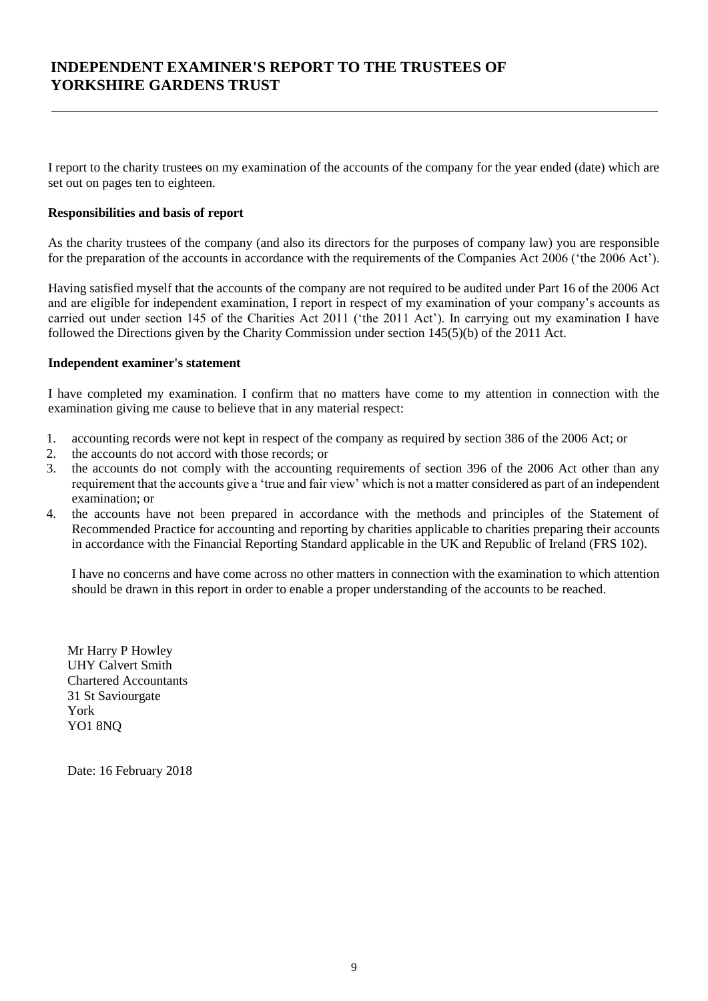# **INDEPENDENT EXAMINER'S REPORT TO THE TRUSTEES OF YORKSHIRE GARDENS TRUST**

I report to the charity trustees on my examination of the accounts of the company for the year ended (date) which are set out on pages ten to eighteen.

# **Responsibilities and basis of report**

As the charity trustees of the company (and also its directors for the purposes of company law) you are responsible for the preparation of the accounts in accordance with the requirements of the Companies Act 2006 ('the 2006 Act').

Having satisfied myself that the accounts of the company are not required to be audited under Part 16 of the 2006 Act and are eligible for independent examination, I report in respect of my examination of your company's accounts as carried out under section 145 of the Charities Act 2011 ('the 2011 Act'). In carrying out my examination I have followed the Directions given by the Charity Commission under section 145(5)(b) of the 2011 Act.

## **Independent examiner's statement**

I have completed my examination. I confirm that no matters have come to my attention in connection with the examination giving me cause to believe that in any material respect:

- 1. accounting records were not kept in respect of the company as required by section 386 of the 2006 Act; or
- 2. the accounts do not accord with those records; or
- 3. the accounts do not comply with the accounting requirements of section 396 of the 2006 Act other than any requirement that the accounts give a 'true and fair view' which is not a matter considered as part of an independent examination; or
- 4. the accounts have not been prepared in accordance with the methods and principles of the Statement of Recommended Practice for accounting and reporting by charities applicable to charities preparing their accounts in accordance with the Financial Reporting Standard applicable in the UK and Republic of Ireland (FRS 102).

I have no concerns and have come across no other matters in connection with the examination to which attention should be drawn in this report in order to enable a proper understanding of the accounts to be reached.

Mr Harry P Howley UHY Calvert Smith Chartered Accountants 31 St Saviourgate York YO1 8NQ

Date: 16 February 2018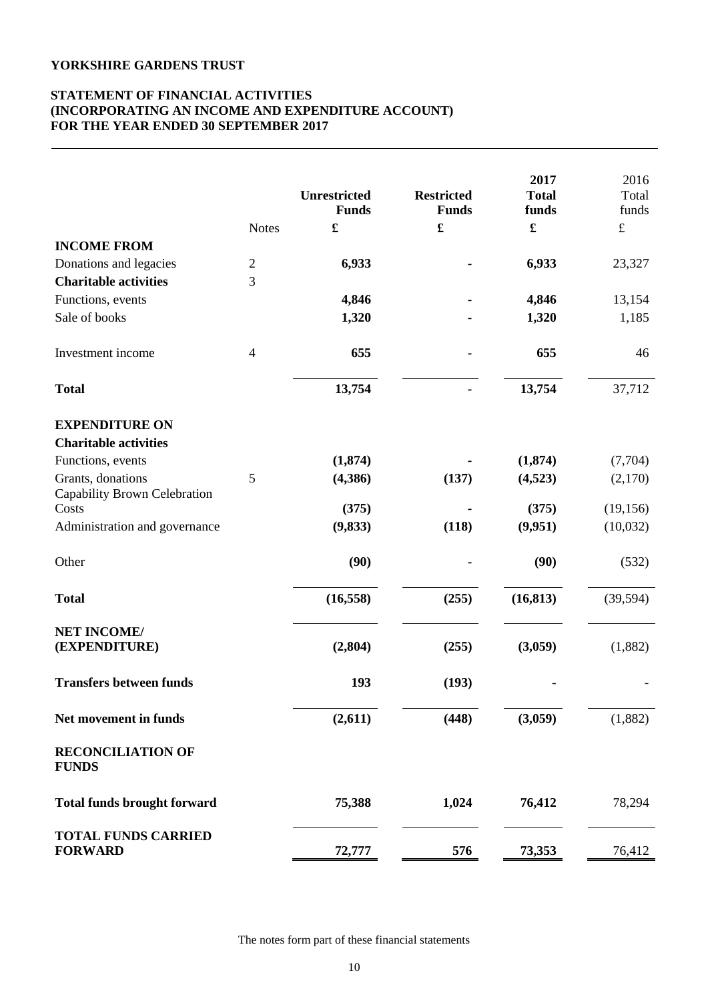# **STATEMENT OF FINANCIAL ACTIVITIES (INCORPORATING AN INCOME AND EXPENDITURE ACCOUNT) FOR THE YEAR ENDED 30 SEPTEMBER 2017**

|                                              | <b>Notes</b>   | <b>Unrestricted</b><br><b>Funds</b><br>$\pmb{\mathfrak{L}}$ | <b>Restricted</b><br><b>Funds</b><br>$\pmb{\mathfrak{L}}$ | 2017<br><b>Total</b><br>funds<br>£ | 2016<br>Total<br>funds<br>$\pounds$ |
|----------------------------------------------|----------------|-------------------------------------------------------------|-----------------------------------------------------------|------------------------------------|-------------------------------------|
| <b>INCOME FROM</b>                           |                |                                                             |                                                           |                                    |                                     |
| Donations and legacies                       | $\overline{c}$ | 6,933                                                       |                                                           | 6,933                              | 23,327                              |
| <b>Charitable activities</b>                 | 3              |                                                             |                                                           |                                    |                                     |
| Functions, events                            |                | 4,846                                                       |                                                           | 4,846                              | 13,154                              |
| Sale of books                                |                | 1,320                                                       |                                                           | 1,320                              | 1,185                               |
| Investment income                            | $\overline{4}$ | 655                                                         |                                                           | 655                                | 46                                  |
| <b>Total</b>                                 |                | 13,754                                                      |                                                           | 13,754                             | 37,712                              |
| <b>EXPENDITURE ON</b>                        |                |                                                             |                                                           |                                    |                                     |
| <b>Charitable activities</b>                 |                |                                                             |                                                           |                                    |                                     |
| Functions, events                            |                | (1, 874)                                                    |                                                           | (1, 874)                           | (7,704)                             |
| Grants, donations                            | 5              | (4, 386)                                                    | (137)                                                     | (4,523)                            | (2,170)                             |
| Capability Brown Celebration<br>Costs        |                | (375)                                                       |                                                           | (375)                              | (19, 156)                           |
| Administration and governance                |                | (9, 833)                                                    | (118)                                                     | (9,951)                            | (10,032)                            |
|                                              |                |                                                             |                                                           |                                    |                                     |
| Other                                        |                | (90)                                                        |                                                           | (90)                               | (532)                               |
| <b>Total</b>                                 |                | (16, 558)                                                   | (255)                                                     | (16, 813)                          | (39, 594)                           |
| <b>NET INCOME/</b><br>(EXPENDITURE)          |                | (2,804)                                                     | (255)                                                     | (3,059)                            | (1,882)                             |
| <b>Transfers between funds</b>               |                | 193                                                         | (193)                                                     |                                    |                                     |
| Net movement in funds                        |                | (2,611)                                                     | (448)                                                     | (3,059)                            | (1,882)                             |
| <b>RECONCILIATION OF</b><br><b>FUNDS</b>     |                |                                                             |                                                           |                                    |                                     |
| <b>Total funds brought forward</b>           |                | 75,388                                                      | 1,024                                                     | 76,412                             | 78,294                              |
| <b>TOTAL FUNDS CARRIED</b><br><b>FORWARD</b> |                | 72,777                                                      | 576                                                       | 73,353                             | 76,412                              |

The notes form part of these financial statements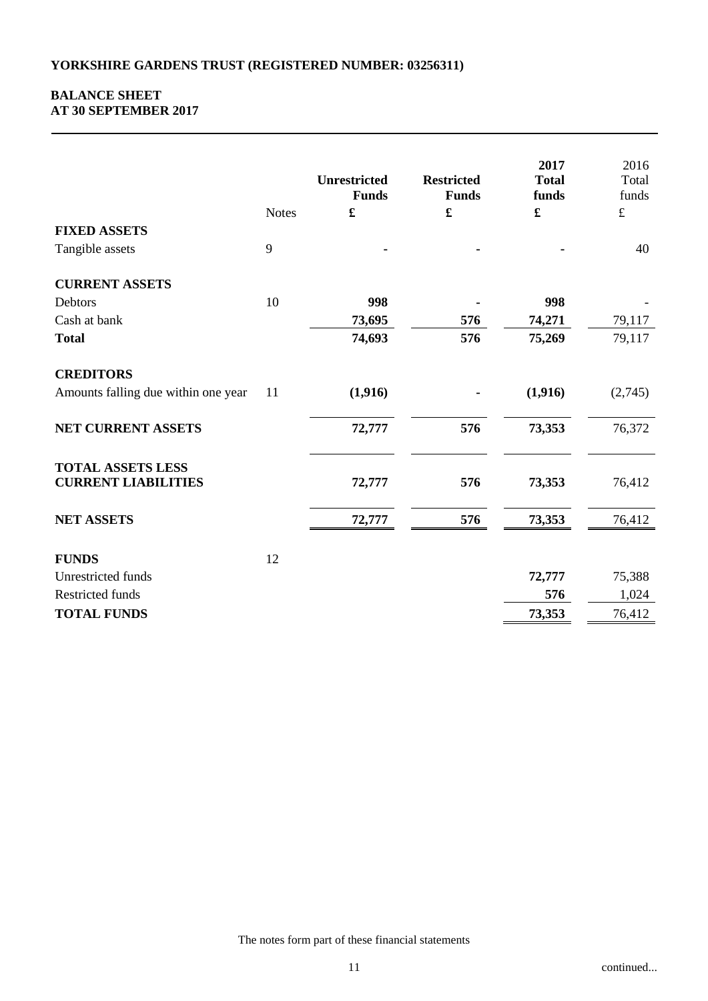# **BALANCE SHEET AT 30 SEPTEMBER 2017**

|                                                        | <b>Notes</b> | <b>Unrestricted</b><br><b>Funds</b><br>£ | <b>Restricted</b><br><b>Funds</b><br>£ | 2017<br><b>Total</b><br>funds<br>$\mathbf f$ | 2016<br>Total<br>funds<br>$\mathbf f$ |
|--------------------------------------------------------|--------------|------------------------------------------|----------------------------------------|----------------------------------------------|---------------------------------------|
| <b>FIXED ASSETS</b>                                    |              |                                          |                                        |                                              |                                       |
| Tangible assets                                        | 9            |                                          |                                        |                                              | 40                                    |
| <b>CURRENT ASSETS</b>                                  |              |                                          |                                        |                                              |                                       |
| Debtors                                                | 10           | 998                                      |                                        | 998                                          |                                       |
| Cash at bank                                           |              | 73,695                                   | 576                                    | 74,271                                       | 79,117                                |
| <b>Total</b>                                           |              | 74,693                                   | 576                                    | 75,269                                       | 79,117                                |
| <b>CREDITORS</b>                                       |              |                                          |                                        |                                              |                                       |
| Amounts falling due within one year                    | 11           | (1,916)                                  |                                        | (1,916)                                      | (2,745)                               |
| <b>NET CURRENT ASSETS</b>                              |              | 72,777                                   | 576                                    | 73,353                                       | 76,372                                |
| <b>TOTAL ASSETS LESS</b><br><b>CURRENT LIABILITIES</b> |              | 72,777                                   | 576                                    | 73,353                                       | 76,412                                |
| <b>NET ASSETS</b>                                      |              | 72,777                                   | 576                                    | 73,353                                       | 76,412                                |
| <b>FUNDS</b>                                           | 12           |                                          |                                        |                                              |                                       |
| Unrestricted funds                                     |              |                                          |                                        | 72,777                                       | 75,388                                |
| Restricted funds                                       |              |                                          |                                        | 576                                          | 1,024                                 |
| <b>TOTAL FUNDS</b>                                     |              |                                          |                                        | 73,353                                       | 76,412                                |
|                                                        |              |                                          |                                        |                                              |                                       |

The notes form part of these financial statements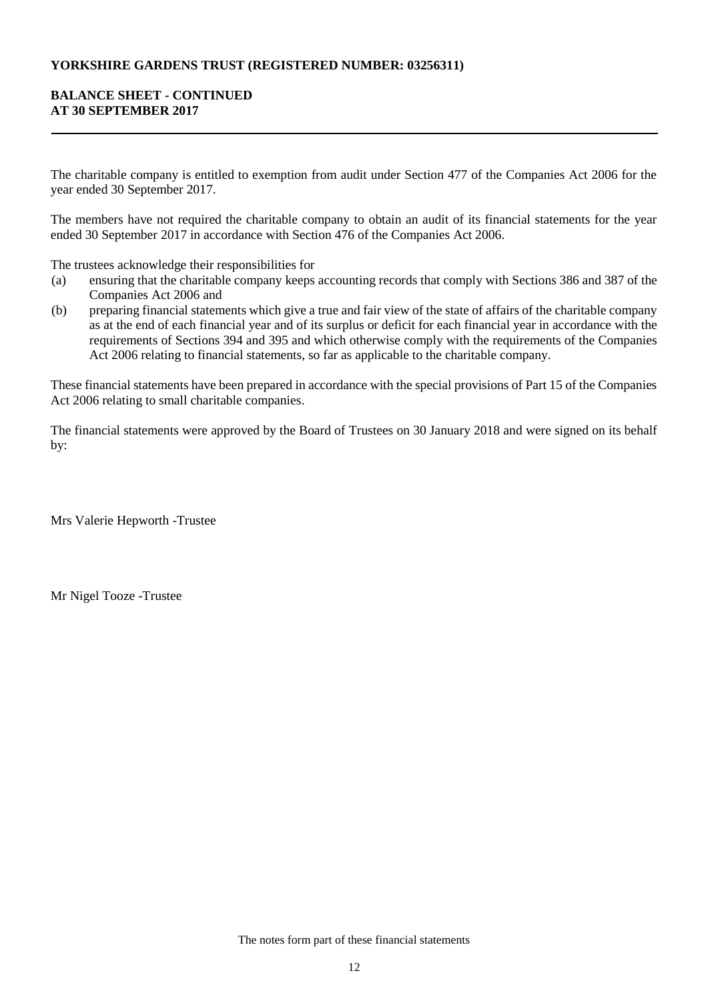# **YORKSHIRE GARDENS TRUST (REGISTERED NUMBER: 03256311)**

# **BALANCE SHEET - CONTINUED AT 30 SEPTEMBER 2017**

The charitable company is entitled to exemption from audit under Section 477 of the Companies Act 2006 for the year ended 30 September 2017.

The members have not required the charitable company to obtain an audit of its financial statements for the year ended 30 September 2017 in accordance with Section 476 of the Companies Act 2006.

The trustees acknowledge their responsibilities for

- (a) ensuring that the charitable company keeps accounting records that comply with Sections 386 and 387 of the Companies Act 2006 and
- (b) preparing financial statements which give a true and fair view of the state of affairs of the charitable company as at the end of each financial year and of its surplus or deficit for each financial year in accordance with the requirements of Sections 394 and 395 and which otherwise comply with the requirements of the Companies Act 2006 relating to financial statements, so far as applicable to the charitable company.

These financial statements have been prepared in accordance with the special provisions of Part 15 of the Companies Act 2006 relating to small charitable companies.

The financial statements were approved by the Board of Trustees on 30 January 2018 and were signed on its behalf by:

Mrs Valerie Hepworth -Trustee

Mr Nigel Tooze -Trustee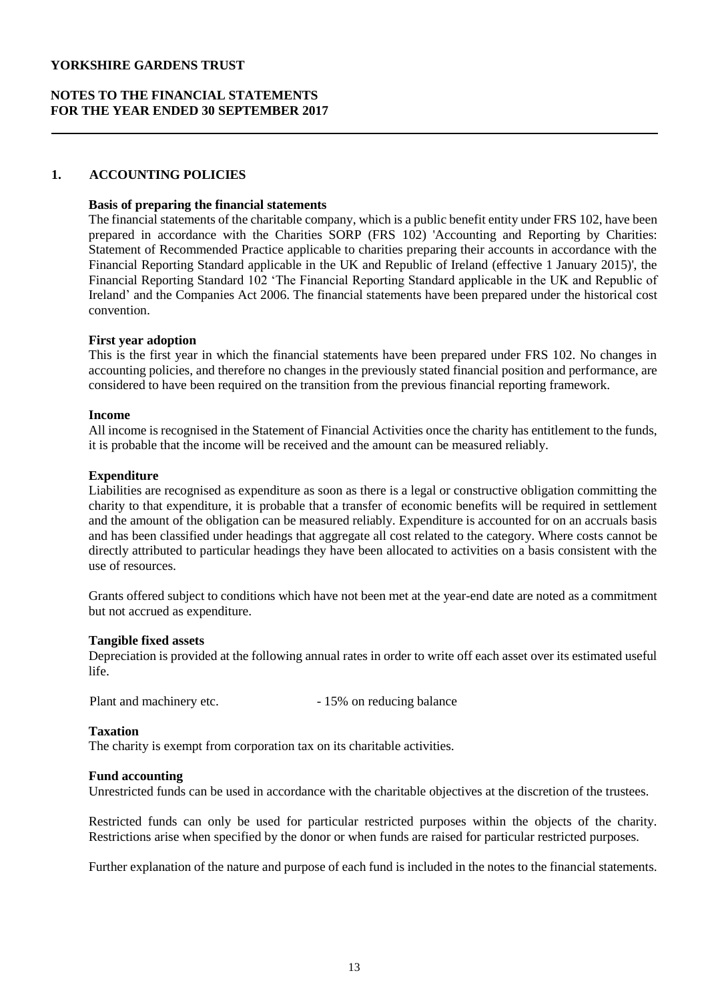# **NOTES TO THE FINANCIAL STATEMENTS FOR THE YEAR ENDED 30 SEPTEMBER 2017**

## **1. ACCOUNTING POLICIES**

## **Basis of preparing the financial statements**

The financial statements of the charitable company, which is a public benefit entity under FRS 102, have been prepared in accordance with the Charities SORP (FRS 102) 'Accounting and Reporting by Charities: Statement of Recommended Practice applicable to charities preparing their accounts in accordance with the Financial Reporting Standard applicable in the UK and Republic of Ireland (effective 1 January 2015)', the Financial Reporting Standard 102 'The Financial Reporting Standard applicable in the UK and Republic of Ireland' and the Companies Act 2006. The financial statements have been prepared under the historical cost convention.

## **First year adoption**

This is the first year in which the financial statements have been prepared under FRS 102. No changes in accounting policies, and therefore no changes in the previously stated financial position and performance, are considered to have been required on the transition from the previous financial reporting framework.

## **Income**

All income is recognised in the Statement of Financial Activities once the charity has entitlement to the funds, it is probable that the income will be received and the amount can be measured reliably.

## **Expenditure**

Liabilities are recognised as expenditure as soon as there is a legal or constructive obligation committing the charity to that expenditure, it is probable that a transfer of economic benefits will be required in settlement and the amount of the obligation can be measured reliably. Expenditure is accounted for on an accruals basis and has been classified under headings that aggregate all cost related to the category. Where costs cannot be directly attributed to particular headings they have been allocated to activities on a basis consistent with the use of resources.

Grants offered subject to conditions which have not been met at the year-end date are noted as a commitment but not accrued as expenditure.

#### **Tangible fixed assets**

Depreciation is provided at the following annual rates in order to write off each asset over its estimated useful life.

Plant and machinery etc. - 15% on reducing balance

#### **Taxation**

The charity is exempt from corporation tax on its charitable activities.

#### **Fund accounting**

Unrestricted funds can be used in accordance with the charitable objectives at the discretion of the trustees.

Restricted funds can only be used for particular restricted purposes within the objects of the charity. Restrictions arise when specified by the donor or when funds are raised for particular restricted purposes.

Further explanation of the nature and purpose of each fund is included in the notes to the financial statements.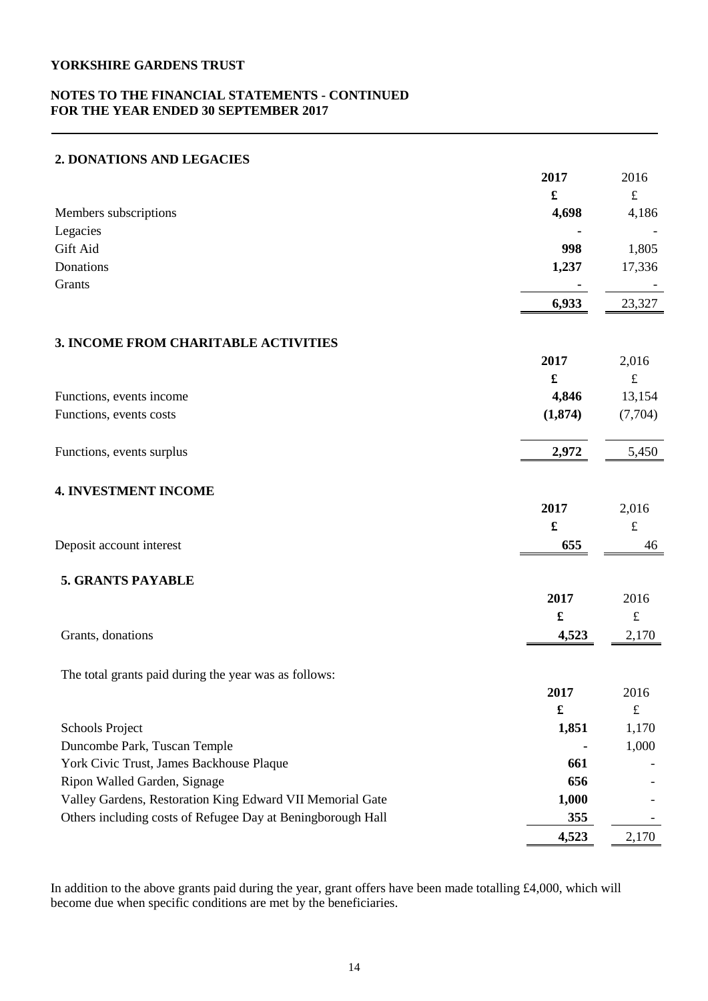# **NOTES TO THE FINANCIAL STATEMENTS - CONTINUED FOR THE YEAR ENDED 30 SEPTEMBER 2017**

| 2. DONATIONS AND LEGACIES                                   |                      |           |
|-------------------------------------------------------------|----------------------|-----------|
|                                                             | 2017                 | 2016      |
|                                                             | $\pmb{\mathfrak{L}}$ | $\pounds$ |
| Members subscriptions                                       | 4,698                | 4,186     |
| Legacies                                                    |                      |           |
| Gift Aid                                                    | 998                  | 1,805     |
| Donations                                                   | 1,237                | 17,336    |
| <b>Grants</b>                                               |                      |           |
|                                                             | 6,933                | 23,327    |
| 3. INCOME FROM CHARITABLE ACTIVITIES                        |                      |           |
|                                                             | 2017                 | 2,016     |
|                                                             | £                    | $\pounds$ |
| Functions, events income                                    | 4,846                | 13,154    |
| Functions, events costs                                     | (1, 874)             | (7,704)   |
| Functions, events surplus                                   | 2,972                | 5,450     |
|                                                             |                      |           |
| <b>4. INVESTMENT INCOME</b>                                 |                      |           |
|                                                             | 2017                 | 2,016     |
|                                                             | $\pmb{\mathfrak{L}}$ | $\pounds$ |
| Deposit account interest                                    | 655                  | 46        |
| 5. GRANTS PAYABLE                                           |                      |           |
|                                                             | 2017                 | 2016      |
|                                                             | $\mathbf f$          | $\pounds$ |
| Grants, donations                                           | 4,523                | 2,170     |
| The total grants paid during the year was as follows:       |                      |           |
|                                                             | 2017                 | 2016      |
|                                                             | £                    | $\pounds$ |
| Schools Project                                             | 1,851                | 1,170     |
| Duncombe Park, Tuscan Temple                                |                      | 1,000     |
| York Civic Trust, James Backhouse Plaque                    | 661                  |           |
| Ripon Walled Garden, Signage                                | 656                  |           |
| Valley Gardens, Restoration King Edward VII Memorial Gate   | 1,000                |           |
| Others including costs of Refugee Day at Beningborough Hall | 355                  |           |
|                                                             | 4,523                | 2,170     |

In addition to the above grants paid during the year, grant offers have been made totalling £4,000, which will become due when specific conditions are met by the beneficiaries.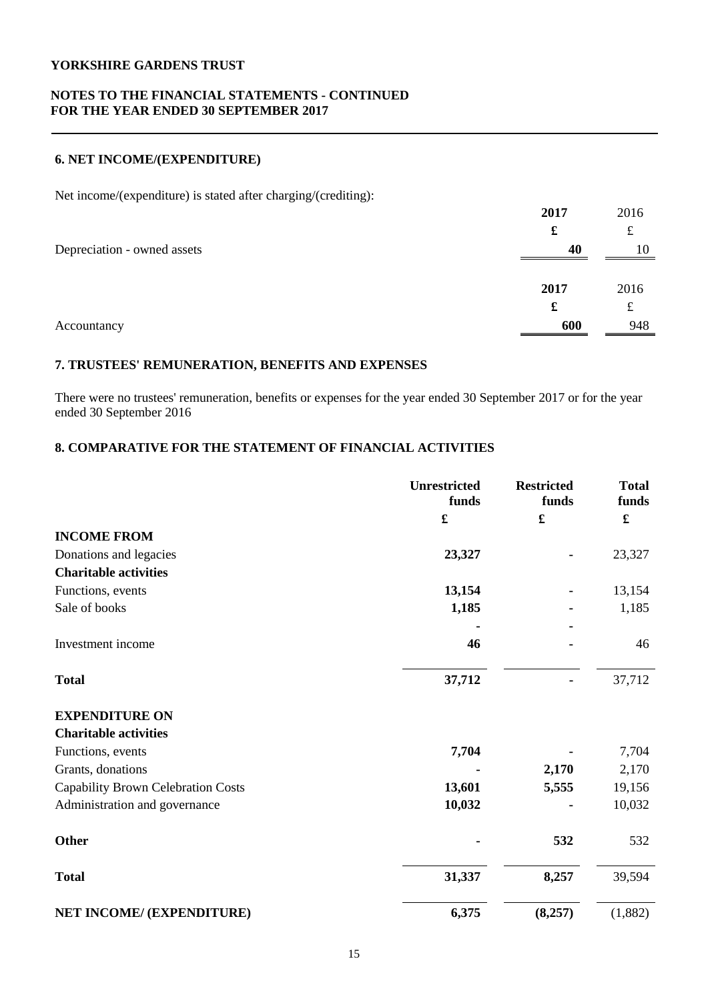# **NOTES TO THE FINANCIAL STATEMENTS - CONTINUED FOR THE YEAR ENDED 30 SEPTEMBER 2017**

# **6. NET INCOME/(EXPENDITURE)**

Net income/(expenditure) is stated after charging/(crediting):

|                             | 2017 | 2016 |
|-----------------------------|------|------|
|                             | £    | £    |
| Depreciation - owned assets | 40   | 10   |
|                             |      |      |
|                             | 2017 | 2016 |
|                             | £    | £    |
| Accountancy                 | 600  | 948  |

# **7. TRUSTEES' REMUNERATION, BENEFITS AND EXPENSES**

There were no trustees' remuneration, benefits or expenses for the year ended 30 September 2017 or for the year ended 30 September 2016

# **8. COMPARATIVE FOR THE STATEMENT OF FINANCIAL ACTIVITIES**

|                                    | Unrestricted<br>funds | <b>Restricted</b><br>funds | <b>Total</b><br>funds |
|------------------------------------|-----------------------|----------------------------|-----------------------|
|                                    | £                     | £                          | £                     |
| <b>INCOME FROM</b>                 |                       |                            |                       |
| Donations and legacies             | 23,327                |                            | 23,327                |
| <b>Charitable activities</b>       |                       |                            |                       |
| Functions, events                  | 13,154                |                            | 13,154                |
| Sale of books                      | 1,185                 |                            | 1,185                 |
|                                    |                       |                            |                       |
| Investment income                  | 46                    |                            | 46                    |
| <b>Total</b>                       | 37,712                |                            | 37,712                |
| <b>EXPENDITURE ON</b>              |                       |                            |                       |
| <b>Charitable activities</b>       |                       |                            |                       |
| Functions, events                  | 7,704                 |                            | 7,704                 |
| Grants, donations                  |                       | 2,170                      | 2,170                 |
| Capability Brown Celebration Costs | 13,601                | 5,555                      | 19,156                |
| Administration and governance      | 10,032                |                            | 10,032                |
| <b>Other</b>                       |                       | 532                        | 532                   |
| <b>Total</b>                       | 31,337                | 8,257                      | 39,594                |
| NET INCOME/ (EXPENDITURE)          | 6,375                 | (8,257)                    | (1,882)               |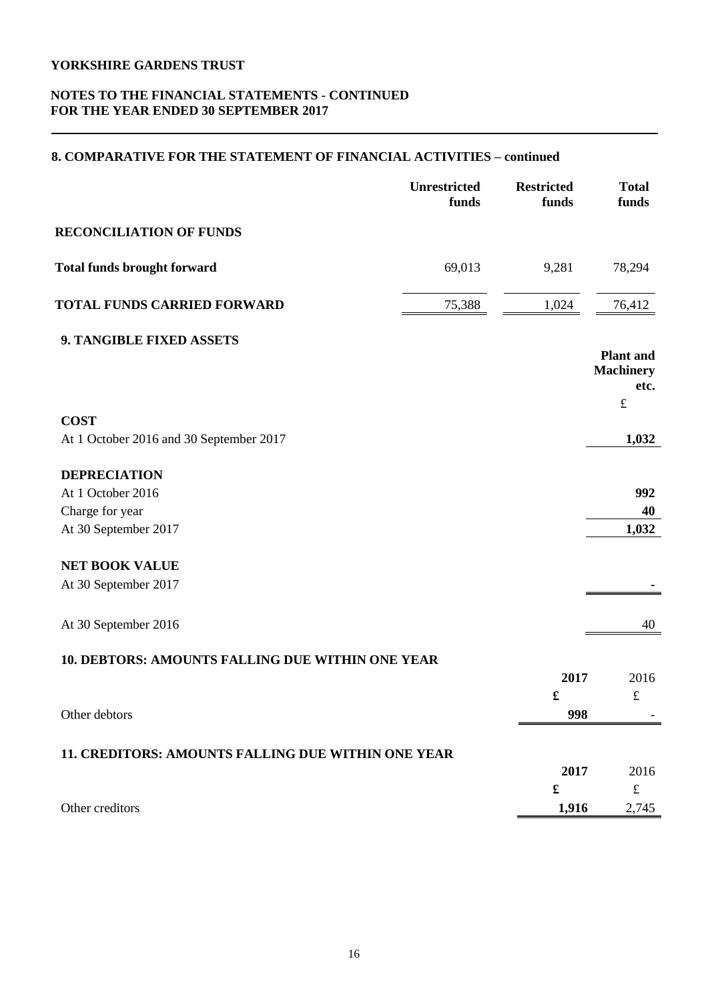# **NOTES TO THE FINANCIAL STATEMENTS - CONTINUED FOR THE YEAR ENDED 30 SEPTEMBER 2017**

# **8. COMPARATIVE FOR THE STATEMENT OF FINANCIAL ACTIVITIES – continued**

|                                                    | <b>Unrestricted</b><br>funds | <b>Restricted</b><br>funds | <b>Total</b><br>funds                        |
|----------------------------------------------------|------------------------------|----------------------------|----------------------------------------------|
| <b>RECONCILIATION OF FUNDS</b>                     |                              |                            |                                              |
| <b>Total funds brought forward</b>                 | 69,013                       | 9,281                      | 78,294                                       |
| <b>TOTAL FUNDS CARRIED FORWARD</b>                 | 75,388                       | 1,024                      | 76,412                                       |
| 9. TANGIBLE FIXED ASSETS                           |                              |                            |                                              |
|                                                    |                              |                            | <b>Plant</b> and<br><b>Machinery</b><br>etc. |
| <b>COST</b>                                        |                              |                            | $\pounds$                                    |
| At 1 October 2016 and 30 September 2017            |                              |                            | 1,032                                        |
| <b>DEPRECIATION</b>                                |                              |                            |                                              |
| At 1 October 2016                                  |                              |                            | 992                                          |
| Charge for year                                    |                              |                            | 40                                           |
| At 30 September 2017                               |                              |                            | 1,032                                        |
| <b>NET BOOK VALUE</b>                              |                              |                            |                                              |
| At 30 September 2017                               |                              |                            |                                              |
| At 30 September 2016                               |                              |                            | 40                                           |
| 10. DEBTORS: AMOUNTS FALLING DUE WITHIN ONE YEAR   |                              |                            |                                              |
|                                                    |                              | 2017                       | 2016                                         |
|                                                    |                              | £                          | $\pounds$                                    |
| Other debtors                                      |                              | 998                        |                                              |
| 11. CREDITORS: AMOUNTS FALLING DUE WITHIN ONE YEAR |                              |                            |                                              |
|                                                    |                              | 2017                       | 2016                                         |
|                                                    |                              | £                          | $\pounds$                                    |
| Other creditors                                    |                              | 1,916                      | 2,745                                        |
|                                                    |                              |                            |                                              |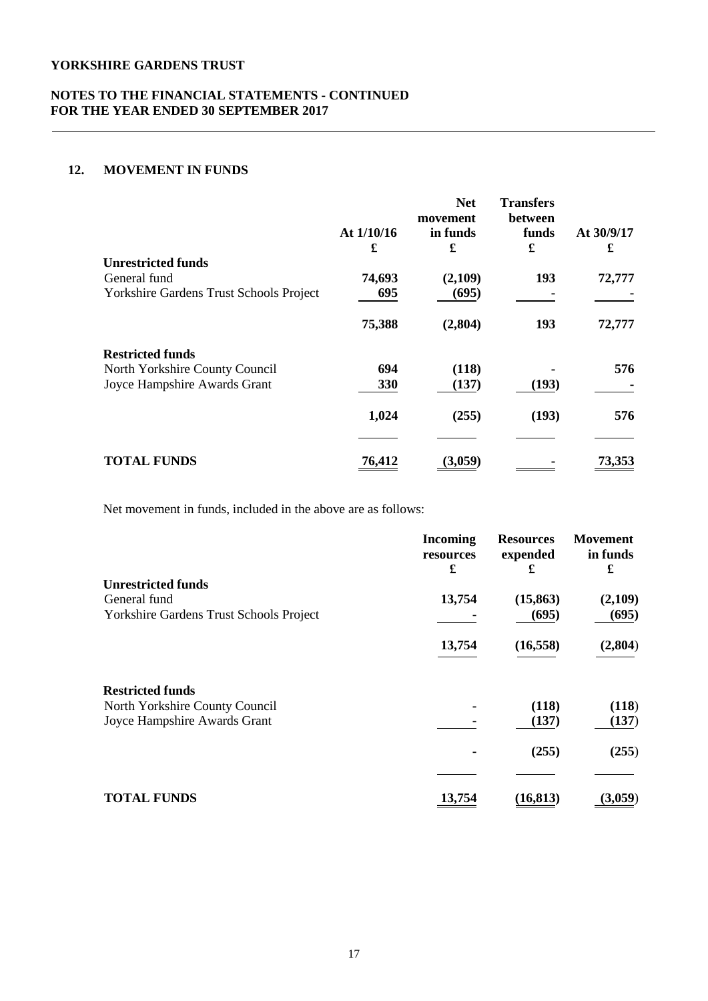# **NOTES TO THE FINANCIAL STATEMENTS - CONTINUED FOR THE YEAR ENDED 30 SEPTEMBER 2017**

# **12. MOVEMENT IN FUNDS**

|                                         | At 1/10/16<br>£ | <b>Net</b><br>movement<br>in funds<br>£ | <b>Transfers</b><br>between<br>funds<br>£ | At 30/9/17<br>£ |
|-----------------------------------------|-----------------|-----------------------------------------|-------------------------------------------|-----------------|
| <b>Unrestricted funds</b>               |                 |                                         |                                           |                 |
| General fund                            | 74,693          | (2,109)                                 | 193                                       | 72,777          |
| Yorkshire Gardens Trust Schools Project | 695             | (695)                                   |                                           |                 |
|                                         | 75,388          | (2,804)                                 | 193                                       | 72,777          |
| <b>Restricted funds</b>                 |                 |                                         |                                           |                 |
| North Yorkshire County Council          | 694             | (118)                                   |                                           | 576             |
| Joyce Hampshire Awards Grant            | <b>330</b>      | (137)                                   | (193)                                     |                 |
|                                         | 1,024           | (255)                                   | (193)                                     | 576             |
|                                         |                 |                                         |                                           |                 |
| <b>TOTAL FUNDS</b>                      | 76,412          | (3,059)                                 |                                           | 73,353          |

Net movement in funds, included in the above are as follows:

|                                         | <b>Incoming</b><br>resources<br>£ | <b>Resources</b><br>expended<br>£ | <b>Movement</b><br>in funds<br>£ |
|-----------------------------------------|-----------------------------------|-----------------------------------|----------------------------------|
| <b>Unrestricted funds</b>               |                                   |                                   |                                  |
| General fund                            | 13,754                            | (15, 863)                         | (2,109)                          |
| Yorkshire Gardens Trust Schools Project |                                   | (695)                             | (695)                            |
|                                         | 13,754                            | (16, 558)                         | (2,804)                          |
| <b>Restricted funds</b>                 |                                   |                                   |                                  |
| North Yorkshire County Council          |                                   | (118)                             | (118)                            |
| Joyce Hampshire Awards Grant            |                                   | (137)                             | (137)                            |
|                                         |                                   | (255)                             | (255)                            |
|                                         |                                   |                                   |                                  |
| <b>TOTAL FUNDS</b>                      | 13,754                            | (16, 813)                         | (3,059)                          |